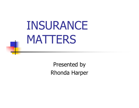# INSURANCE MATTERS

Presented by Rhonda Harper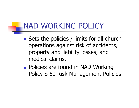# NAD WORKING POLICY

- **Sets the policies / limits for all church** operations against risk of accidents, property and liability losses, and medical claims.
- **Policies are found in NAD Working** Policy S 60 Risk Management Policies.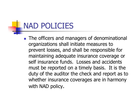#### NAD POLICIES

**The officers and managers of denominational** organizations shall initiate measures to prevent losses, and shall be responsible for maintaining adequate insurance coverage or self insurance funds. Losses and accidents must be reported on a timely basis. It is the duty of the auditor the check and report as to whether insurance coverages are in harmony with NAD policy.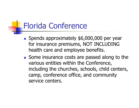#### Florida Conference

- Spends approximately \$6,000,000 per year for insurance premiums, NOT INCLUDING health care and employee benefits.
- Some insurance costs are passed along to the various entities within the Conference, including the churches, schools, child centers, camp, conference office, and community service centers.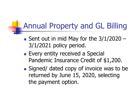#### Annual Property and GL Billing

- Sent out in mid May for the 3/1/2020 -3/1/2021 policy period.
- **Every entity received a Special** Pandemic Insurance Credit of \$1,200.
- **Signed/ dated copy of invoice was to be** returned by June 15, 2020, selecting the payment option.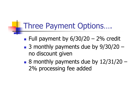# Three Payment Options….

- $\blacksquare$  Full payment by  $6/30/20 2\%$  credit
- 3 monthly payments due by 9/30/20 no discount given
- 8 monthly payments due by 12/31/20 -2% processing fee added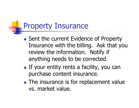# Property Insurance

- **Sent the current Evidence of Property** Insurance with the billing. Ask that you review the information. Notify if anything needs to be corrected.
- **If your entity rents a facility, you can** purchase content insurance.
- **The insurance is for replacement value** vs. market value.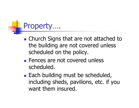# Property….

- **Example 2 Church Signs that are not attached to** the building are not covered unless scheduled on the policy.
- **Fences are not covered unless** scheduled.
- **Each building must be scheduled,** including sheds, pavilions, etc. if you want them insured.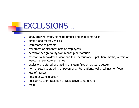# EXCLUSIONS…

- a. land, growing crops, standing timber and animal mortality
- $\sim$ aircraft and motor vehicles
- $\mathcal{L}_{\mathcal{A}}$ waterborne shipments
- $\mathcal{L}_{\mathcal{A}}$ fraudulent or dishonest acts of employees
- $\mathcal{C}^{\mathcal{A}}$ defective design, faulty workmanship or materials
- $\overline{\phantom{a}}$  mechanical breakdown, wear and tear, deterioration, pollution, moths, vermin or insect, temperature extremes
- $\mathcal{L}_{\mathcal{A}}$ explosion, ruptured or bursting of steam fired or pressure vessels
- $\mathcal{L}_{\mathcal{A}}$ normal settling, cracking of pavements, foundations, walls, ceilings, or floors
- $\mathcal{L}^{\mathcal{A}}$ loss of market
- $\mathbf{r}$ hostile or warlike action
- $\mathcal{L}_{\mathrm{in}}$ nuclear reaction, radiation or radioactive contamination
- $\sim$ mold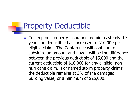#### Property Deductible

F To keep our property insurance premiums steady this year, the deductible has increased to \$10,000 per eligible claim. The Conference will continue to subsidize an amount and now it will be the difference between the previous deductible of \$5,000 and the current deductible of \$10,000 for any eligible, nonhurricane claim. For named storm property claims, the deductible remains at 3% of the damaged building value, or a minimum of \$25,000.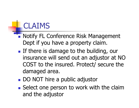# CLAIMS

- **Notify FL Conference Risk Management** Dept if you have a property claim.
- **If there is damage to the building, our** insurance will send out an adjustor at NO COST to the insured. Protect/ secure the damaged area.
- **DO NOT hire a public adjustor**
- **Select one person to work with the claim** and the adjustor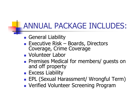# ANNUAL PACKAGE INCLUDES:

- **General Liability**
- **Executive Risk Boards, Directors** Coverage, Crime Coverage
- **Nolunteer Labor**
- $\Box$ **Premises Medical for members/ guests on and off property**
- **Excess Liability**
- **EPL (Sexual Harassment/ Wrongful Term)**
- **DETERNAL Volunteer Screening Program**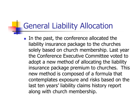#### General Liability Allocation

**IF The conference allocated the 11** liability insurance package to the churches solely based on church membership. Last year the Conference Executive Committee voted to adopt a new method of allocating the liability insurance package premium to churches. This new method is composed of a formula that contemplates exposure and risks based on the last ten years' liability claims history report along with church membership.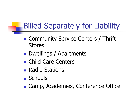# Billed Separately for Liability

- **Community Service Centers / Thrift** Stores
- **Dwellings / Apartments**
- **Child Care Centers**
- **Radio Stations**
- Schools
- **E.** Camp, Academies, Conference Office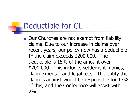#### Deductible for GL

Our Churches are not exempt from liability claims. Due to our increase in claims over recent years, our policy now has a deductible IF the claim exceeds \$200,000. The deductible is 15% of the amount over \$200,000. This includes settlement monies, claim expense, and legal fees. The entity the claim is against would be responsible for 13% of this, and the Conference will assist with  $2\%$ .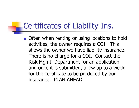#### Certificates of Liability Ins.

**Often when renting or using locations to hold** activities, the owner requires a COI. This shows the owner we have liability insurance. There is no charge for a COI. Contact the Risk Mgmt. Department for an application and once it is submitted, allow up to a week for the certificate to be produced by our insurance. PLAN AHEAD